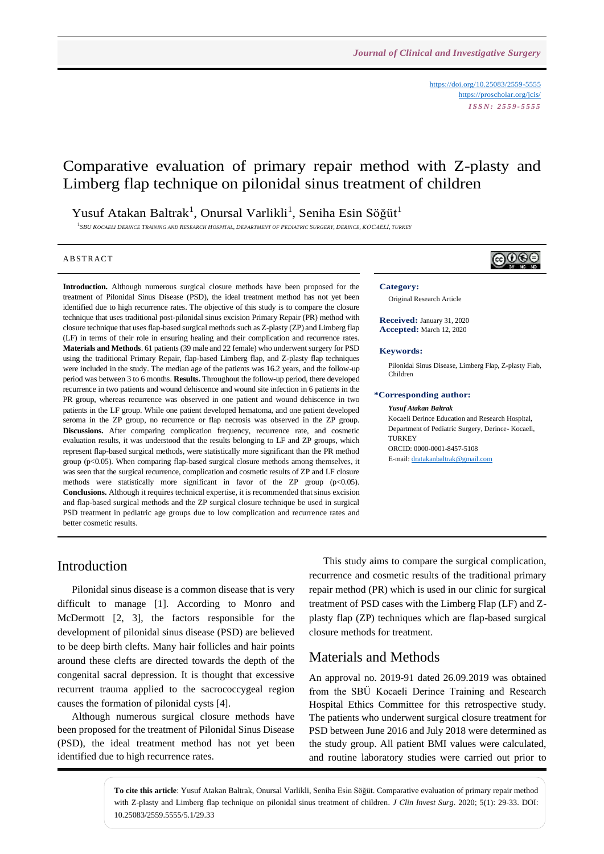<https://doi.org/10.25083/2559-5555> <https://proscholar.org/jcis/> *I S S N : 2 5 5 9 - 5 5 5 5*

# Comparative evaluation of primary repair method with Z-plasty and Limberg flap technique on pilonidal sinus treatment of children

### Yusuf Atakan Baltrak<sup>1</sup>, Onursal Varlikli<sup>1</sup>, Seniha Esin Söğüt<sup>1</sup>

<sup>1</sup>SBU KOCAELI DERINCE TRAINING AND RESEARCH HOSPITAL, DEPARTMENT OF PEDIATRIC SURGERY, DERINCE, KOCAELI, TURKEY

#### **ABSTRACT**

**Introduction.** Although numerous surgical closure methods have been proposed for the treatment of Pilonidal Sinus Disease (PSD), the ideal treatment method has not yet been identified due to high recurrence rates. The objective of this study is to compare the closure technique that uses traditional post-pilonidal sinus excision Primary Repair (PR) method with closure technique that uses flap-based surgical methods such as Z-plasty (ZP) and Limberg flap (LF) in terms of their role in ensuring healing and their complication and recurrence rates. **Materials and Methods**. 61 patients (39 male and 22 female) who underwent surgery for PSD using the traditional Primary Repair, flap-based Limberg flap, and Z-plasty flap techniques were included in the study. The median age of the patients was 16.2 years, and the follow-up period was between 3 to 6 months. **Results.** Throughout the follow-up period, there developed recurrence in two patients and wound dehiscence and wound site infection in 6 patients in the PR group, whereas recurrence was observed in one patient and wound dehiscence in two patients in the LF group. While one patient developed hematoma, and one patient developed seroma in the ZP group, no recurrence or flap necrosis was observed in the ZP group. **Discussions.** After comparing complication frequency, recurrence rate, and cosmetic evaluation results, it was understood that the results belonging to LF and ZP groups, which represent flap-based surgical methods, were statistically more significant than the PR method group (p<0.05). When comparing flap-based surgical closure methods among themselves, it was seen that the surgical recurrence, complication and cosmetic results of ZP and LF closure methods were statistically more significant in favor of the ZP group  $(p<0.05)$ . **Conclusions.** Although it requires technical expertise, it is recommended that sinus excision and flap-based surgical methods and the ZP surgical closure technique be used in surgical PSD treatment in pediatric age groups due to low complication and recurrence rates and better cosmetic results.



#### **Category:**

Original Research Article

**Received:** January 31, 2020 **Accepted:** March 12, 2020

#### **Keywords:**

Pilonidal Sinus Disease, Limberg Flap, Z-plasty Flab, Children

#### **\*Corresponding author:**

#### *Yusuf Atakan Baltrak*

Kocaeli Derince Education and Research Hospital, Department of Pediatric Surgery, Derince- Kocaeli, TURKEY ORCID: 0000-0001-8457-5108 E-mail[: dratakanbaltrak@gmail.com](mailto:dratakanbaltrak@gmail.com)

### Introduction

Pilonidal sinus disease is a common disease that is very difficult to manage [1]. According to Monro and McDermott [2, 3], the factors responsible for the development of pilonidal sinus disease (PSD) are believed to be deep birth clefts. Many hair follicles and hair points around these clefts are directed towards the depth of the congenital sacral depression. It is thought that excessive recurrent trauma applied to the sacrococcygeal region causes the formation of pilonidal cysts [4].

Although numerous surgical closure methods have been proposed for the treatment of Pilonidal Sinus Disease (PSD), the ideal treatment method has not yet been identified due to high recurrence rates.

This study aims to compare the surgical complication, recurrence and cosmetic results of the traditional primary repair method (PR) which is used in our clinic for surgical treatment of PSD cases with the Limberg Flap (LF) and Zplasty flap (ZP) techniques which are flap-based surgical closure methods for treatment.

### Materials and Methods

An approval no. 2019-91 dated 26.09.2019 was obtained from the SBÜ Kocaeli Derince Training and Research Hospital Ethics Committee for this retrospective study. The patients who underwent surgical closure treatment for PSD between June 2016 and July 2018 were determined as the study group. All patient BMI values were calculated, and routine laboratory studies were carried out prior to

**To cite this article**: Yusuf Atakan Baltrak, Onursal Varlikli, Seniha Esin Söğüt. Comparative evaluation of primary repair method with Z-plasty and Limberg flap technique on pilonidal sinus treatment of children. *J Clin Invest Surg*. 2020; 5(1): 29-33. DOI: 10.25083/2559.5555/5.1/29.33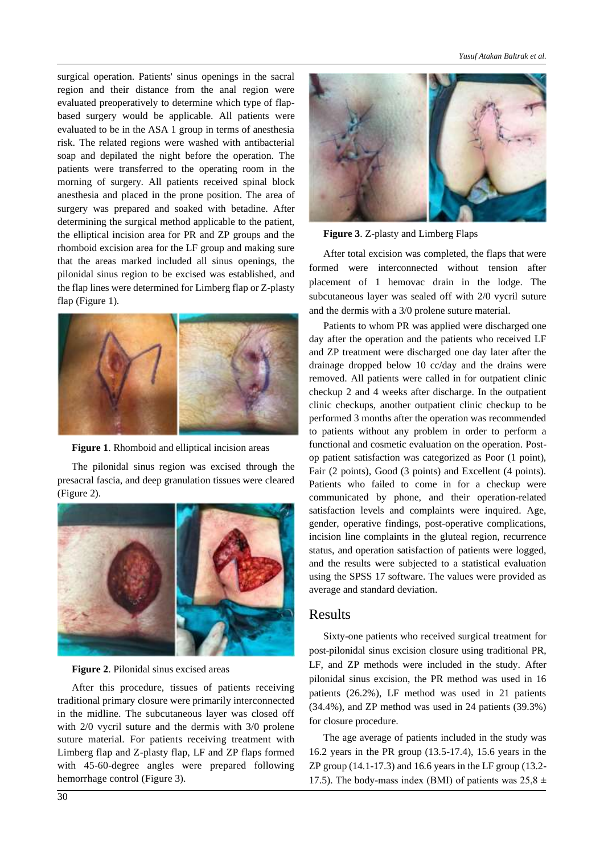surgical operation. Patients' sinus openings in the sacral region and their distance from the anal region were evaluated preoperatively to determine which type of flapbased surgery would be applicable. All patients were evaluated to be in the ASA 1 group in terms of anesthesia risk. The related regions were washed with antibacterial soap and depilated the night before the operation. The patients were transferred to the operating room in the morning of surgery. All patients received spinal block anesthesia and placed in the prone position. The area of surgery was prepared and soaked with betadine. After determining the surgical method applicable to the patient, the elliptical incision area for PR and ZP groups and the rhomboid excision area for the LF group and making sure that the areas marked included all sinus openings, the pilonidal sinus region to be excised was established, and the flap lines were determined for Limberg flap or Z-plasty flap (Figure 1).





The pilonidal sinus region was excised through the presacral fascia, and deep granulation tissues were cleared (Figure 2).



**Figure 2**. Pilonidal sinus excised areas

After this procedure, tissues of patients receiving traditional primary closure were primarily interconnected in the midline. The subcutaneous layer was closed off with 2/0 vycril suture and the dermis with 3/0 prolene suture material. For patients receiving treatment with Limberg flap and Z-plasty flap, LF and ZP flaps formed with 45-60-degree angles were prepared following hemorrhage control (Figure 3).



**Figure 3**. Z-plasty and Limberg Flaps

After total excision was completed, the flaps that were formed were interconnected without tension after placement of 1 hemovac drain in the lodge. The subcutaneous layer was sealed off with 2/0 vycril suture and the dermis with a 3/0 prolene suture material.

Patients to whom PR was applied were discharged one day after the operation and the patients who received LF and ZP treatment were discharged one day later after the drainage dropped below 10 cc/day and the drains were removed. All patients were called in for outpatient clinic checkup 2 and 4 weeks after discharge. In the outpatient clinic checkups, another outpatient clinic checkup to be performed 3 months after the operation was recommended to patients without any problem in order to perform a functional and cosmetic evaluation on the operation. Postop patient satisfaction was categorized as Poor (1 point), Fair (2 points), Good (3 points) and Excellent (4 points). Patients who failed to come in for a checkup were communicated by phone, and their operation-related satisfaction levels and complaints were inquired. Age, gender, operative findings, post-operative complications, incision line complaints in the gluteal region, recurrence status, and operation satisfaction of patients were logged, and the results were subjected to a statistical evaluation using the SPSS 17 software. The values were provided as average and standard deviation.

### Results

Sixty-one patients who received surgical treatment for post-pilonidal sinus excision closure using traditional PR, LF, and ZP methods were included in the study. After pilonidal sinus excision, the PR method was used in 16 patients (26.2%), LF method was used in 21 patients (34.4%), and ZP method was used in 24 patients (39.3%) for closure procedure.

The age average of patients included in the study was 16.2 years in the PR group (13.5-17.4), 15.6 years in the ZP group (14.1-17.3) and 16.6 years in the LF group (13.2- 17.5). The body-mass index (BMI) of patients was  $25.8 \pm$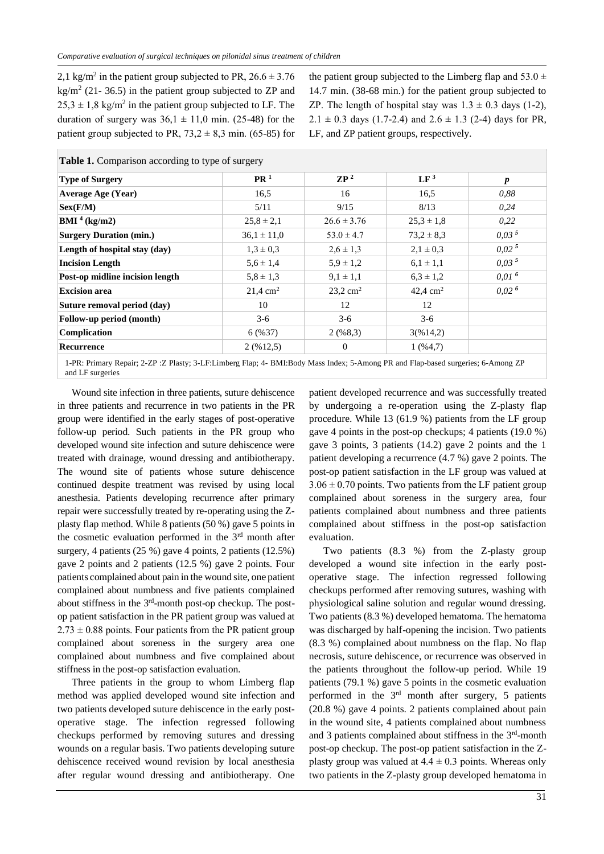2,1 kg/m<sup>2</sup> in the patient group subjected to PR,  $26.6 \pm 3.76$  $\text{kg/m}^2$  (21-36.5) in the patient group subjected to ZP and  $25,3 \pm 1,8$  kg/m<sup>2</sup> in the patient group subjected to LF. The duration of surgery was  $36.1 \pm 11.0$  min. (25-48) for the patient group subjected to PR,  $73.2 \pm 8.3$  min. (65-85) for

the patient group subjected to the Limberg flap and  $53.0 \pm$ 14.7 min. (38-68 min.) for the patient group subjected to ZP. The length of hospital stay was  $1.3 \pm 0.3$  days (1-2), 2.1  $\pm$  0.3 days (1.7-2.4) and 2.6  $\pm$  1.3 (2-4) days for PR, LF, and ZP patient groups, respectively.

| <b>Type of Surgery</b>          | PR <sup>1</sup>     | $\mathbb{Z}P^2$        | LF <sup>3</sup>        | $\boldsymbol{p}$  |
|---------------------------------|---------------------|------------------------|------------------------|-------------------|
| <b>Average Age (Year)</b>       | 16.5                | 16                     | 16.5                   | 0,88              |
| Sex(F/M)                        | 5/11                | 9/15                   | 8/13                   | 0,24              |
| BMI <sup>4</sup> (kg/m2)        | $25.8 \pm 2.1$      | $26.6 \pm 3.76$        | $25.3 \pm 1.8$         | 0.22              |
| <b>Surgery Duration (min.)</b>  | $36.1 \pm 11.0$     | $53.0 \pm 4.7$         | $73.2 \pm 8.3$         | 0.03 <sup>5</sup> |
| Length of hospital stay (day)   | $1.3 \pm 0.3$       | $2,6 \pm 1,3$          | $2.1 \pm 0.3$          | 0.02 <sup>5</sup> |
| <b>Incision Length</b>          | $5.6 \pm 1.4$       | $5.9 \pm 1.2$          | $6.1 \pm 1.1$          | 0.03 <sup>5</sup> |
| Post-op midline incision length | $5,8 \pm 1,3$       | $9,1 \pm 1,1$          | $6.3 \pm 1.2$          | 0.01 <sup>6</sup> |
| <b>Excision area</b>            | $21.4 \text{ cm}^2$ | $23,2$ cm <sup>2</sup> | $42,4$ cm <sup>2</sup> | 0.02 <sup>6</sup> |
| Suture removal period (day)     | 10                  | 12                     | 12                     |                   |
| Follow-up period (month)        | $3-6$               | $3-6$                  | $3-6$                  |                   |
| Complication                    | 6(%37)              | 2(968,3)               | 3(%14,2)               |                   |
| Recurrence                      | $2($ % 12,5)        | $\theta$               | 1(964,7)               |                   |

**Table 1.** Comparison according to type of surgery

1-PR: Primary Repair; 2-ZP :Z Plasty; 3-LF:Limberg Flap; 4- BMI:Body Mass Index; 5-Among PR and Flap-based surgeries; 6-Among ZP and LF surgeries

Wound site infection in three patients, suture dehiscence in three patients and recurrence in two patients in the PR group were identified in the early stages of post-operative follow-up period. Such patients in the PR group who developed wound site infection and suture dehiscence were treated with drainage, wound dressing and antibiotherapy. The wound site of patients whose suture dehiscence continued despite treatment was revised by using local anesthesia. Patients developing recurrence after primary repair were successfully treated by re-operating using the Zplasty flap method. While 8 patients (50 %) gave 5 points in the cosmetic evaluation performed in the  $3<sup>rd</sup>$  month after surgery, 4 patients (25 %) gave 4 points, 2 patients (12.5%) gave 2 points and 2 patients (12.5 %) gave 2 points. Four patients complained about pain in the wound site, one patient complained about numbness and five patients complained about stiffness in the 3<sup>rd</sup>-month post-op checkup. The postop patient satisfaction in the PR patient group was valued at  $2.73 \pm 0.88$  points. Four patients from the PR patient group complained about soreness in the surgery area one complained about numbness and five complained about stiffness in the post-op satisfaction evaluation.

Three patients in the group to whom Limberg flap method was applied developed wound site infection and two patients developed suture dehiscence in the early postoperative stage. The infection regressed following checkups performed by removing sutures and dressing wounds on a regular basis. Two patients developing suture dehiscence received wound revision by local anesthesia after regular wound dressing and antibiotherapy. One

patient developed recurrence and was successfully treated by undergoing a re-operation using the Z-plasty flap procedure. While 13 (61.9 %) patients from the LF group gave 4 points in the post-op checkups; 4 patients (19.0 %) gave 3 points, 3 patients (14.2) gave 2 points and the 1 patient developing a recurrence (4.7 %) gave 2 points. The post-op patient satisfaction in the LF group was valued at  $3.06 \pm 0.70$  points. Two patients from the LF patient group complained about soreness in the surgery area, four patients complained about numbness and three patients complained about stiffness in the post-op satisfaction evaluation.

Two patients (8.3 %) from the Z-plasty group developed a wound site infection in the early postoperative stage. The infection regressed following checkups performed after removing sutures, washing with physiological saline solution and regular wound dressing. Two patients (8.3 %) developed hematoma. The hematoma was discharged by half-opening the incision. Two patients (8.3 %) complained about numbness on the flap. No flap necrosis, suture dehiscence, or recurrence was observed in the patients throughout the follow-up period. While 19 patients (79.1 %) gave 5 points in the cosmetic evaluation performed in the  $3<sup>rd</sup>$  month after surgery, 5 patients (20.8 %) gave 4 points. 2 patients complained about pain in the wound site, 4 patients complained about numbness and 3 patients complained about stiffness in the 3<sup>rd</sup>-month post-op checkup. The post-op patient satisfaction in the Zplasty group was valued at  $4.4 \pm 0.3$  points. Whereas only two patients in the Z-plasty group developed hematoma in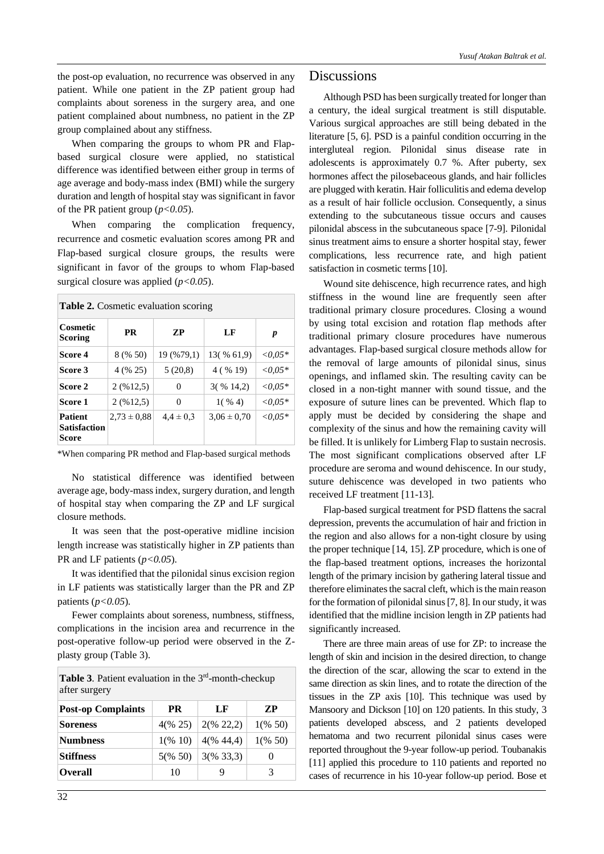the post-op evaluation, no recurrence was observed in any patient. While one patient in the ZP patient group had complaints about soreness in the surgery area, and one patient complained about numbness, no patient in the ZP group complained about any stiffness.

When comparing the groups to whom PR and Flapbased surgical closure were applied, no statistical difference was identified between either group in terms of age average and body-mass index (BMI) while the surgery duration and length of hospital stay was significant in favor of the PR patient group (*p<0.05*).

When comparing the complication frequency, recurrence and cosmetic evaluation scores among PR and Flap-based surgical closure groups, the results were significant in favor of the groups to whom Flap-based surgical closure was applied (*p<0.05*).

|--|

| Cosmetic<br><b>Scoring</b>                     | PR              | ZР            | LF              | p          |
|------------------------------------------------|-----------------|---------------|-----------------|------------|
| Score 4                                        | 8 (% 50)        | 19 (%79,1)    | 13(% 61.9)      | $<,0.05*$  |
| Score 3                                        | 4 (% 25)        | 5(20.8)       | 4 ( % 19)       | $<,0.05*$  |
| Score 2                                        | 2(9612,5)       | $\theta$      | $3($ % 14,2)    | ${<}0.05*$ |
| Score 1                                        | 2(9612,5)       | 0             | $1(y_0, 4)$     | ${<}0.05*$ |
| <b>Patient</b><br><b>Satisfaction</b><br>Score | $2,73 \pm 0.88$ | $4.4 \pm 0.3$ | $3.06 \pm 0.70$ | ${<}0.05*$ |

\*When comparing PR method and Flap-based surgical methods

No statistical difference was identified between average age, body-mass index, surgery duration, and length of hospital stay when comparing the ZP and LF surgical closure methods.

It was seen that the post-operative midline incision length increase was statistically higher in ZP patients than PR and LF patients  $(p<0.05)$ .

It was identified that the pilonidal sinus excision region in LF patients was statistically larger than the PR and ZP patients (*p<0.05*).

Fewer complaints about soreness, numbness, stiffness, complications in the incision area and recurrence in the post-operative follow-up period were observed in the Zplasty group (Table 3).

**Table 3.** Patient evaluation in the  $3<sup>rd</sup>$ -month-checkup after surgery

| <b>Post-op Complaints</b> | <b>PR</b> | LF           | ZP                 |
|---------------------------|-----------|--------------|--------------------|
| <b>Soreness</b>           | 4(% 25)   | $2(\% 22,2)$ | $1\frac{(650)}{2}$ |
| <b>Numbness</b>           | 1(% 10)   | $4(\% 44.4)$ | $1(\% 50)$         |
| <b>Stiffness</b>          | 5(% 50)   | $3(\% 33,3)$ |                    |
| <b>Overall</b>            | 10        | g            | 3                  |

### **Discussions**

Although PSD has been surgically treated for longer than a century, the ideal surgical treatment is still disputable. Various surgical approaches are still being debated in the literature [5, 6]. PSD is a painful condition occurring in the intergluteal region. Pilonidal sinus disease rate in adolescents is approximately 0.7 %. After puberty, sex hormones affect the pilosebaceous glands, and hair follicles are plugged with keratin. Hair folliculitis and edema develop as a result of hair follicle occlusion. Consequently, a sinus extending to the subcutaneous tissue occurs and causes pilonidal abscess in the subcutaneous space [7-9]. Pilonidal sinus treatment aims to ensure a shorter hospital stay, fewer complications, less recurrence rate, and high patient satisfaction in cosmetic terms [10].

Wound site dehiscence, high recurrence rates, and high stiffness in the wound line are frequently seen after traditional primary closure procedures. Closing a wound by using total excision and rotation flap methods after traditional primary closure procedures have numerous advantages. Flap-based surgical closure methods allow for the removal of large amounts of pilonidal sinus, sinus openings, and inflamed skin. The resulting cavity can be closed in a non-tight manner with sound tissue, and the exposure of suture lines can be prevented. Which flap to apply must be decided by considering the shape and complexity of the sinus and how the remaining cavity will be filled. It is unlikely for Limberg Flap to sustain necrosis. The most significant complications observed after LF procedure are seroma and wound dehiscence. In our study, suture dehiscence was developed in two patients who received LF treatment [11-13].

Flap-based surgical treatment for PSD flattens the sacral depression, prevents the accumulation of hair and friction in the region and also allows for a non-tight closure by using the proper technique [14, 15]. ZP procedure, which is one of the flap-based treatment options, increases the horizontal length of the primary incision by gathering lateral tissue and therefore eliminates the sacral cleft, which is the main reason for the formation of pilonidal sinus [7, 8]. In our study, it was identified that the midline incision length in ZP patients had significantly increased.

There are three main areas of use for ZP: to increase the length of skin and incision in the desired direction, to change the direction of the scar, allowing the scar to extend in the same direction as skin lines, and to rotate the direction of the tissues in the ZP axis [10]. This technique was used by Mansoory and Dickson [10] on 120 patients. In this study, 3 patients developed abscess, and 2 patients developed hematoma and two recurrent pilonidal sinus cases were reported throughout the 9-year follow-up period. Toubanakis [11] applied this procedure to 110 patients and reported no cases of recurrence in his 10-year follow-up period. Bose et